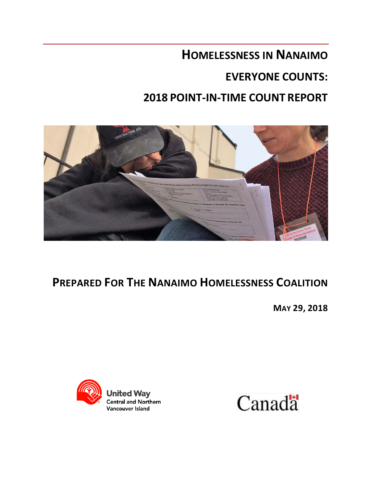# **HOMELESSNESS IN NANAIMO**

# **EVERYONE COUNTS:**

# **2018 POINT-IN-TIME COUNT REPORT**



# **PREPARED FOR THE NANAIMO HOMELESSNESS COALITION**

**MAY 29, 2018**



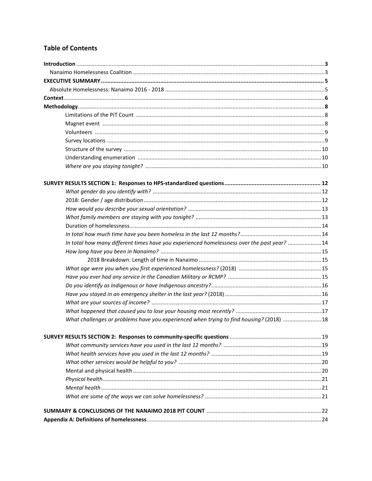# **Table of Contents**

| In total how many different times have you experienced homelessness over the past year? 14 |  |
|--------------------------------------------------------------------------------------------|--|
|                                                                                            |  |
|                                                                                            |  |
|                                                                                            |  |
|                                                                                            |  |
|                                                                                            |  |
|                                                                                            |  |
|                                                                                            |  |
|                                                                                            |  |
| What challenges or problems have you experienced when trying to find housing? (2018) 18    |  |
|                                                                                            |  |
|                                                                                            |  |
|                                                                                            |  |
|                                                                                            |  |
|                                                                                            |  |
|                                                                                            |  |
|                                                                                            |  |
|                                                                                            |  |
|                                                                                            |  |
|                                                                                            |  |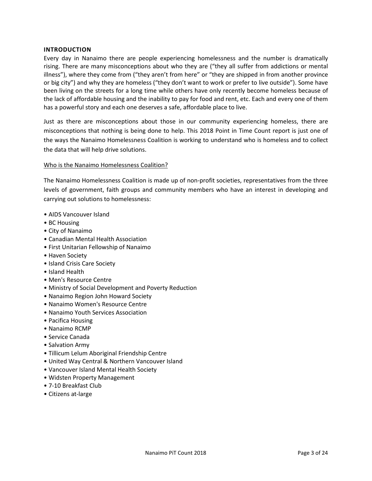### **INTRODUCTION**

Every day in Nanaimo there are people experiencing homelessness and the number is dramatically rising. There are many misconceptions about who they are ("they all suffer from addictions or mental illness"), where they come from ("they aren't from here" or "they are shipped in from another province or big city") and why they are homeless ("they don't want to work or prefer to live outside"). Some have been living on the streets for a long time while others have only recently become homeless because of the lack of affordable housing and the inability to pay for food and rent, etc. Each and every one of them has a powerful story and each one deserves a safe, affordable place to live.

Just as there are misconceptions about those in our community experiencing homeless, there are misconceptions that nothing is being done to help. This 2018 Point in Time Count report is just one of the ways the Nanaimo Homelessness Coalition is working to understand who is homeless and to collect the data that will help drive solutions.

### Who is the Nanaimo Homelessness Coalition?

The Nanaimo Homelessness Coalition is made up of non-profit societies, representatives from the three levels of government, faith groups and community members who have an interest in developing and carrying out solutions to homelessness:

- AIDS Vancouver Island
- BC Housing
- City of Nanaimo
- Canadian Mental Health Association
- First Unitarian Fellowship of Nanaimo
- Haven Society
- Island Crisis Care Society
- Island Health
- Men's Resource Centre
- Ministry of Social Development and Poverty Reduction
- Nanaimo Region John Howard Society
- Nanaimo Women's Resource Centre
- Nanaimo Youth Services Association
- Pacifica Housing
- Nanaimo RCMP
- Service Canada
- Salvation Army
- Tillicum Lelum Aboriginal Friendship Centre
- United Way Central & Northern Vancouver Island
- Vancouver Island Mental Health Society
- Widsten Property Management
- 7-10 Breakfast Club
- Citizens at-large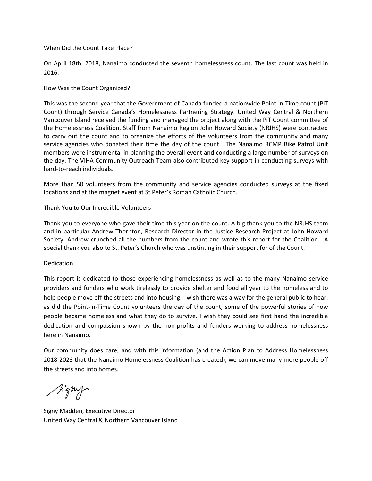#### When Did the Count Take Place?

On April 18th, 2018, Nanaimo conducted the seventh homelessness count. The last count was held in 2016.

# How Was the Count Organized?

This was the second year that the Government of Canada funded a nationwide Point-in-Time count (PiT Count) through Service Canada's Homelessness Partnering Strategy. United Way Central & Northern Vancouver Island received the funding and managed the project along with the PiT Count committee of the Homelessness Coalition. Staff from Nanaimo Region John Howard Society (NRJHS) were contracted to carry out the count and to organize the efforts of the volunteers from the community and many service agencies who donated their time the day of the count. The Nanaimo RCMP Bike Patrol Unit members were instrumental in planning the overall event and conducting a large number of surveys on the day. The VIHA Community Outreach Team also contributed key support in conducting surveys with hard-to-reach individuals.

More than 50 volunteers from the community and service agencies conducted surveys at the fixed locations and at the magnet event at St Peter's Roman Catholic Church.

### Thank You to Our Incredible Volunteers

Thank you to everyone who gave their time this year on the count. A big thank you to the NRJHS team and in particular Andrew Thornton, Research Director in the Justice Research Project at John Howard Society. Andrew crunched all the numbers from the count and wrote this report for the Coalition. A special thank you also to St. Peter's Church who was unstinting in their support for of the Count.

#### Dedication

This report is dedicated to those experiencing homelessness as well as to the many Nanaimo service providers and funders who work tirelessly to provide shelter and food all year to the homeless and to help people move off the streets and into housing. I wish there was a way for the general public to hear, as did the Point-in-Time Count volunteers the day of the count, some of the powerful stories of how people became homeless and what they do to survive. I wish they could see first hand the incredible dedication and compassion shown by the non-profits and funders working to address homelessness here in Nanaimo.

Our community does care, and with this information (and the Action Plan to Address Homelessness 2018-2023 that the Nanaimo Homelessness Coalition has created), we can move many more people off the streets and into homes.

J'amp

Signy Madden, Executive Director United Way Central & Northern Vancouver Island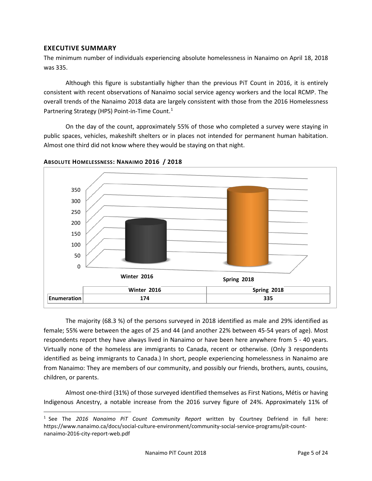# **EXECUTIVE SUMMARY**

The minimum number of individuals experiencing absolute homelessness in Nanaimo on April 18, 2018 was 335.

Although this figure is substantially higher than the previous PiT Count in 2016, it is entirely consistent with recent observations of Nanaimo social service agency workers and the local RCMP. The overall trends of the Nanaimo 2018 data are largely consistent with those from the 2016 Homelessness Partnering Strategy (HPS) Point-in-Time Count.<sup>[1](#page-4-0)</sup>

On the day of the count, approximately 55% of those who completed a survey were staying in public spaces, vehicles, makeshift shelters or in places not intended for permanent human habitation. Almost one third did not know where they would be staying on that night.



**ABSOLUTE HOMELESSNESS: NANAIMO 2016 / 2018**

The majority (68.3 %) of the persons surveyed in 2018 identified as male and 29% identified as female; 55% were between the ages of 25 and 44 (and another 22% between 45-54 years of age). Most respondents report they have always lived in Nanaimo or have been here anywhere from 5 - 40 years. Virtually none of the homeless are immigrants to Canada, recent or otherwise. (Only 3 respondents identified as being immigrants to Canada.) In short, people experiencing homelessness in Nanaimo are from Nanaimo: They are members of our community, and possibly our friends, brothers, aunts, cousins, children, or parents.

Almost one-third (31%) of those surveyed identified themselves as First Nations, Métis or having Indigenous Ancestry, a notable increase from the 2016 survey figure of 24%. Approximately 11% of

<span id="page-4-0"></span> <sup>1</sup> See The *2016 Nanaimo PiT Count Community Report* written by Courtney Defriend in full here: https://www.nanaimo.ca/docs/social-culture-environment/community-social-service-programs/pit-countnanaimo-2016-city-report-web.pdf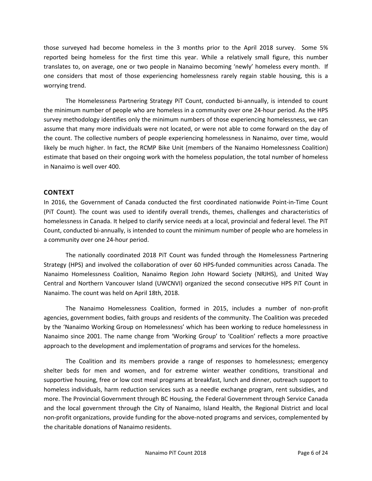those surveyed had become homeless in the 3 months prior to the April 2018 survey. Some 5% reported being homeless for the first time this year. While a relatively small figure, this number translates to, on average, one or two people in Nanaimo becoming 'newly' homeless every month. If one considers that most of those experiencing homelessness rarely regain stable housing, this is a worrying trend.

The Homelessness Partnering Strategy PiT Count, conducted bi-annually, is intended to count the minimum number of people who are homeless in a community over one 24-hour period. As the HPS survey methodology identifies only the minimum numbers of those experiencing homelessness, we can assume that many more individuals were not located, or were not able to come forward on the day of the count. The collective numbers of people experiencing homelessness in Nanaimo, over time, would likely be much higher. In fact, the RCMP Bike Unit (members of the Nanaimo Homelessness Coalition) estimate that based on their ongoing work with the homeless population, the total number of homeless in Nanaimo is well over 400.

# **CONTEXT**

In 2016, the Government of Canada conducted the first coordinated nationwide Point-in-Time Count (PiT Count). The count was used to identify overall trends, themes, challenges and characteristics of homelessness in Canada. It helped to clarify service needs at a local, provincial and federal level. The PiT Count, conducted bi-annually, is intended to count the minimum number of people who are homeless in a community over one 24-hour period.

The nationally coordinated 2018 PiT Count was funded through the Homelessness Partnering Strategy (HPS) and involved the collaboration of over 60 HPS-funded communities across Canada. The Nanaimo Homelessness Coalition, Nanaimo Region John Howard Society (NRJHS), and United Way Central and Northern Vancouver Island (UWCNVI) organized the second consecutive HPS PiT Count in Nanaimo. The count was held on April 18th, 2018.

The Nanaimo Homelessness Coalition, formed in 2015, includes a number of non-profit agencies, government bodies, faith groups and residents of the community. The Coalition was preceded by the 'Nanaimo Working Group on Homelessness' which has been working to reduce homelessness in Nanaimo since 2001. The name change from 'Working Group' to 'Coalition' reflects a more proactive approach to the development and implementation of programs and services for the homeless.

The Coalition and its members provide a range of responses to homelessness; emergency shelter beds for men and women, and for extreme winter weather conditions, transitional and supportive housing, free or low cost meal programs at breakfast, lunch and dinner, outreach support to homeless individuals, harm reduction services such as a needle exchange program, rent subsidies, and more. The Provincial Government through BC Housing, the Federal Government through Service Canada and the local government through the City of Nanaimo, Island Health, the Regional District and local non-profit organizations, provide funding for the above-noted programs and services, complemented by the charitable donations of Nanaimo residents.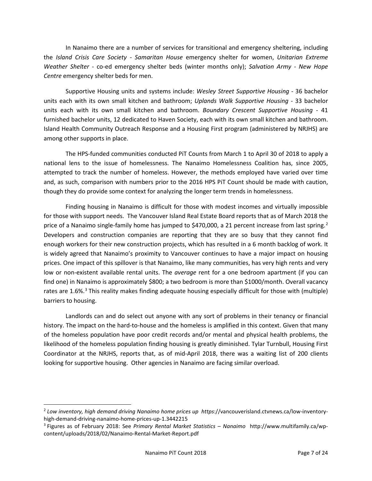In Nanaimo there are a number of services for transitional and emergency sheltering, including the *Island Crisis Care Society - Samaritan House* emergency shelter for women, *Unitarian Extreme Weather Shelter* - co-ed emergency shelter beds (winter months only); *Salvation Army - New Hope Centre* emergency shelter beds for men.

Supportive Housing units and systems include: *Wesley Street Supportive Housing* - 36 bachelor units each with its own small kitchen and bathroom; *Uplands Walk Supportive Housing* - 33 bachelor units each with its own small kitchen and bathroom. *Boundary Crescent Supportive Housing -* 41 furnished bachelor units, 12 dedicated to Haven Society, each with its own small kitchen and bathroom. Island Health Community Outreach Response and a Housing First program (administered by NRJHS) are among other supports in place.

The HPS-funded communities conducted PiT Counts from March 1 to April 30 of 2018 to apply a national lens to the issue of homelessness. The Nanaimo Homelessness Coalition has, since 2005, attempted to track the number of homeless. However, the methods employed have varied over time and, as such, comparison with numbers prior to the 2016 HPS PiT Count should be made with caution, though they do provide some context for analyzing the longer term trends in homelessness.

Finding housing in Nanaimo is difficult for those with modest incomes and virtually impossible for those with support needs. The Vancouver Island Real Estate Board reports that as of March 2018 the price of a Nanaimo single-family home has jumped to \$470,000, a [2](#page-6-0)1 percent increase from last spring.<sup>2</sup> Developers and construction companies are reporting that they are so busy that they cannot find enough workers for their new construction projects, which has resulted in a 6 month backlog of work. It is widely agreed that Nanaimo's proximity to Vancouver continues to have a major impact on housing prices. One impact of this spillover is that Nanaimo, like many communities, has very high rents and very low or non-existent available rental units. The *average* rent for a one bedroom apartment (if you can find one) in Nanaimo is approximately \$800; a two bedroom is more than \$1000/month. Overall vacancy rates are 1.6%.<sup>[3](#page-6-1)</sup> This reality makes finding adequate housing especially difficult for those with (multiple) barriers to housing.

Landlords can and do select out anyone with any sort of problems in their tenancy or financial history. The impact on the hard-to-house and the homeless is amplified in this context. Given that many of the homeless population have poor credit records and/or mental and physical health problems, the likelihood of the homeless population finding housing is greatly diminished. Tylar Turnbull, Housing First Coordinator at the NRJHS, reports that, as of mid-April 2018, there was a waiting list of 200 clients looking for supportive housing. Other agencies in Nanaimo are facing similar overload.

<span id="page-6-0"></span> <sup>2</sup> *Low inventory, high demand driving Nanaimo home prices up https*://vancouverisland.ctvnews.ca/low-inventoryhigh-demand-driving-nanaimo-home-prices-up-1.3442215

<span id="page-6-1"></span><sup>3</sup> Figures as of February 2018: See *Primary Rental Market Statistics – Nanaimo* http://www.multifamily.ca/wpcontent/uploads/2018/02/Nanaimo-Rental-Market-Report.pdf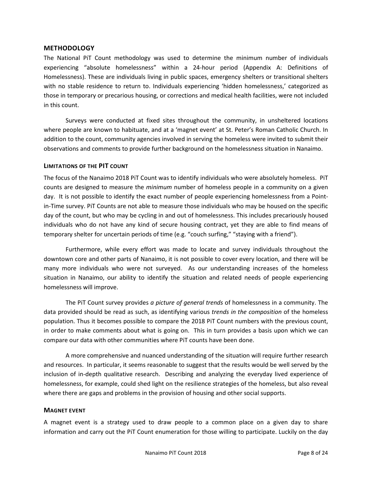# **METHODOLOGY**

The National PiT Count methodology was used to determine the minimum number of individuals experiencing "absolute homelessness" within a 24-hour period (Appendix A: Definitions of Homelessness). These are individuals living in public spaces, emergency shelters or transitional shelters with no stable residence to return to. Individuals experiencing 'hidden homelessness,' categorized as those in temporary or precarious housing, or corrections and medical health facilities, were not included in this count.

Surveys were conducted at fixed sites throughout the community, in unsheltered locations where people are known to habituate, and at a 'magnet event' at St. Peter's Roman Catholic Church. In addition to the count, community agencies involved in serving the homeless were invited to submit their observations and comments to provide further background on the homelessness situation in Nanaimo.

### **LIMITATIONS OF THE PIT COUNT**

The focus of the Nanaimo 2018 PiT Count was to identify individuals who were absolutely homeless. PiT counts are designed to measure the *minimum* number of homeless people in a community on a given day. It is not possible to identify the exact number of people experiencing homelessness from a Pointin-Time survey. PiT Counts are not able to measure those individuals who may be housed on the specific day of the count, but who may be cycling in and out of homelessness. This includes precariously housed individuals who do not have any kind of secure housing contract, yet they are able to find means of temporary shelter for uncertain periods of time (e.g. "couch surfing," "staying with a friend").

Furthermore, while every effort was made to locate and survey individuals throughout the downtown core and other parts of Nanaimo, it is not possible to cover every location, and there will be many more individuals who were not surveyed. As our understanding increases of the homeless situation in Nanaimo, our ability to identify the situation and related needs of people experiencing homelessness will improve.

The PiT Count survey provides *a picture of general trends* of homelessness in a community. The data provided should be read as such, as identifying various *trends in the composition* of the homeless population. Thus it becomes possible to compare the 2018 PiT Count numbers with the previous count, in order to make comments about what is going on. This in turn provides a basis upon which we can compare our data with other communities where PiT counts have been done.

A more comprehensive and nuanced understanding of the situation will require further research and resources. In particular, it seems reasonable to suggest that the results would be well served by the inclusion of in-depth qualitative research. Describing and analyzing the everyday lived experience of homelessness, for example, could shed light on the resilience strategies of the homeless, but also reveal where there are gaps and problems in the provision of housing and other social supports.

# **MAGNET EVENT**

A magnet event is a strategy used to draw people to a common place on a given day to share information and carry out the PiT Count enumeration for those willing to participate. Luckily on the day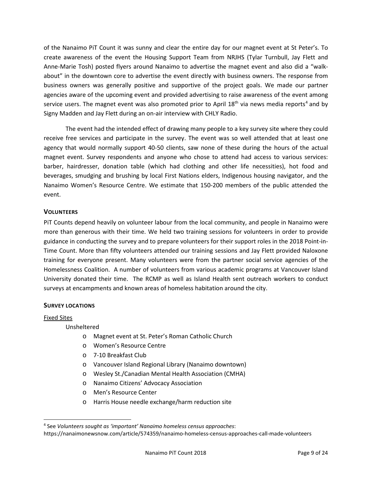of the Nanaimo PiT Count it was sunny and clear the entire day for our magnet event at St Peter's. To create awareness of the event the Housing Support Team from NRJHS (Tylar Turnbull, Jay Flett and Anne-Marie Tosh) posted flyers around Nanaimo to advertise the magnet event and also did a "walkabout" in the downtown core to advertise the event directly with business owners. The response from business owners was generally positive and supportive of the project goals. We made our partner agencies aware of the upcoming event and provided advertising to raise awareness of the event among service users. The magnet event was also promoted prior to April  $18<sup>th</sup>$  via news media reports<sup>[4](#page-8-0)</sup> and by Signy Madden and Jay Flett during an on-air interview with CHLY Radio.

The event had the intended effect of drawing many people to a key survey site where they could receive free services and participate in the survey. The event was so well attended that at least one agency that would normally support 40-50 clients, saw none of these during the hours of the actual magnet event. Survey respondents and anyone who chose to attend had access to various services: barber, hairdresser, donation table (which had clothing and other life necessities), hot food and beverages, smudging and brushing by local First Nations elders, Indigenous housing navigator, and the Nanaimo Women's Resource Centre. We estimate that 150-200 members of the public attended the event.

# **VOLUNTEERS**

PiT Counts depend heavily on volunteer labour from the local community, and people in Nanaimo were more than generous with their time. We held two training sessions for volunteers in order to provide guidance in conducting the survey and to prepare volunteers for their support roles in the 2018 Point-in-Time Count. More than fifty volunteers attended our training sessions and Jay Flett provided Naloxone training for everyone present. Many volunteers were from the partner social service agencies of the Homelessness Coalition. A number of volunteers from various academic programs at Vancouver Island University donated their time. The RCMP as well as Island Health sent outreach workers to conduct surveys at encampments and known areas of homeless habitation around the city.

# **SURVEY LOCATIONS**

#### Fixed Sites

Unsheltered

- o Magnet event at St. Peter's Roman Catholic Church
- o Women's Resource Centre
- o 7-10 Breakfast Club
- o Vancouver Island Regional Library (Nanaimo downtown)
- o Wesley St./Canadian Mental Health Association (CMHA)
- o Nanaimo Citizens' Advocacy Association
- o Men's Resource Center
- o Harris House needle exchange/harm reduction site

<span id="page-8-0"></span> <sup>4</sup> See *Volunteers sought as 'important' Nanaimo homeless census approaches*: https://nanaimonewsnow.com/article/574359/nanaimo-homeless-census-approaches-call-made-volunteers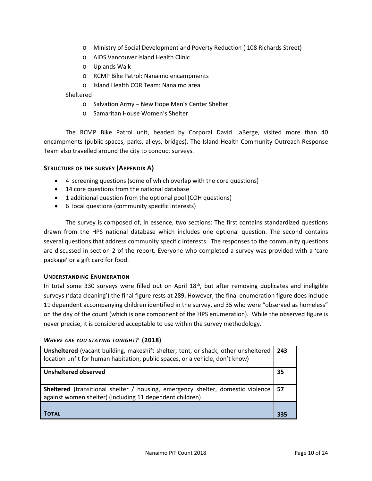- o Ministry of Social Development and Poverty Reduction ( 108 Richards Street)
- o AIDS Vancouver Island Health Clinic
- o Uplands Walk
- o RCMP Bike Patrol: Nanaimo encampments
- o Island Health COR Team: Nanaimo area

# **Sheltered**

- o Salvation Army New Hope Men's Center Shelter
- o Samaritan House Women's Shelter

The RCMP Bike Patrol unit, headed by Corporal David LaBerge, visited more than 40 encampments (public spaces, parks, alleys, bridges). The Island Health Community Outreach Response Team also travelled around the city to conduct surveys.

# **STRUCTURE OF THE SURVEY (APPENDIX A)**

- 4 screening questions (some of which overlap with the core questions)
- 14 core questions from the national database
- 1 additional question from the optional pool (COH questions)
- 6 local questions (community specific interests)

The survey is composed of, in essence, two sections: The first contains standardized questions drawn from the HPS national database which includes one optional question. The second contains several questions that address community specific interests. The responses to the community questions are discussed in section 2 of the report. Everyone who completed a survey was provided with a 'care package' or a gift card for food.

#### **UNDERSTANDING ENUMERATION**

In total some 330 surveys were filled out on April 18<sup>th</sup>, but after removing duplicates and ineligible surveys ('data cleaning') the final figure rests at 289. However, the final enumeration figure does include 11 dependent accompanying children identified in the survey, and 35 who were "observed as homeless" on the day of the count (which is one component of the HPS enumeration). While the observed figure is never precise, it is considered acceptable to use within the survey methodology.

| Unsheltered (vacant building, makeshift shelter, tent, or shack, other unsheltered<br>location unfit for human habitation, public spaces, or a vehicle, don't know) | 243 |
|---------------------------------------------------------------------------------------------------------------------------------------------------------------------|-----|
| <b>Unsheltered observed</b>                                                                                                                                         | 35  |
| <b>Sheltered</b> (transitional shelter / housing, emergency shelter, domestic violence   57<br>against women shelter) (including 11 dependent children)             |     |
| ΤΟΤΑL                                                                                                                                                               | 335 |

# *WHERE ARE YOU STAYING TONIGHT?* **(2018)**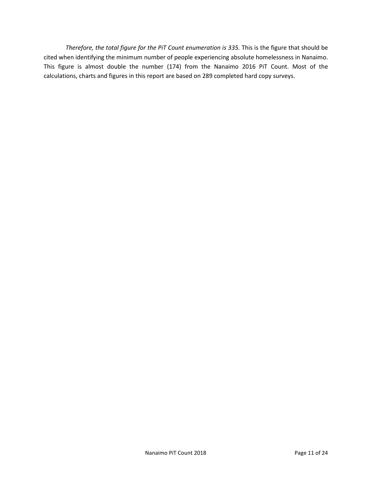*Therefore, the total figure for the PiT Count enumeration is 335.* This is the figure that should be cited when identifying the minimum number of people experiencing absolute homelessness in Nanaimo. This figure is almost double the number (174) from the Nanaimo 2016 PiT Count. Most of the calculations, charts and figures in this report are based on 289 completed hard copy surveys.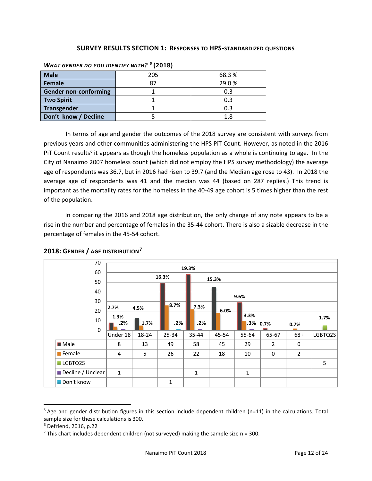# **SURVEY RESULTS SECTION 1: RESPONSES TO HPS-STANDARDIZED QUESTIONS**

| <b>Male</b>                  | 205 | 68.3% |
|------------------------------|-----|-------|
| Female                       | 87  | 29.0% |
| <b>Gender non-conforming</b> |     | 0.3   |
| <b>Two Spirit</b>            |     | 0.3   |
| <b>Transgender</b>           |     | 0.3   |
| Don't know / Decline         |     | 1.8   |

#### *WHAT GENDER DO YOU IDENTIFY WITH? [5](#page-11-0)* **(2018)**

In terms of age and gender the outcomes of the 2018 survey are consistent with surveys from previous years and other communities administering the HPS PiT Count. However, as noted in the 2016 PIT Count results<sup>[6](#page-11-1)</sup> it appears as though the homeless population as a whole is continuing to age. In the City of Nanaimo 2007 homeless count (which did not employ the HPS survey methodology) the average age of respondents was 36.7, but in 2016 had risen to 39.7 (and the Median age rose to 43). In 2018 the average age of respondents was 41 and the median was 44 (based on 287 replies.) This trend is important as the mortality rates for the homeless in the 40-49 age cohort is 5 times higher than the rest of the population.

In comparing the 2016 and 2018 age distribution, the only change of any note appears to be a rise in the number and percentage of females in the 35-44 cohort. There is also a sizable decrease in the percentage of females in the 45-54 cohort.

| 70                    |              |       |       |              |       |              |                |                |         |
|-----------------------|--------------|-------|-------|--------------|-------|--------------|----------------|----------------|---------|
| 60                    |              |       |       | 19.3%        |       |              |                |                |         |
|                       |              |       | 16.3% | 15.3%        |       |              |                |                |         |
| 50                    |              |       |       |              |       |              |                |                |         |
| 40                    |              |       |       |              |       | 9.6%         |                |                |         |
| 30                    |              |       |       |              |       |              |                |                |         |
| 20                    | 2.7%         | 4.5%  | 8.7%  | 7.3%         | 6.0%  |              |                |                |         |
| 10                    | 1.3%         |       |       |              |       | 3.3%         |                |                | 1.7%    |
|                       | .2%          | 1.7%  | .2%   | .2%          |       | $.3\%$ 0.7%  |                | 0.7%           |         |
| 0                     | Under 18     | 18-24 | 25-34 | 35-44        | 45-54 | 55-64        | 65-67          | 68+            | LGBTQ2S |
| <b>Male</b>           | 8            | 13    | 49    | 58           | 45    | 29           | $\overline{2}$ | 0              |         |
| $\blacksquare$ Female | 4            | 5     | 26    | 22           | 18    | 10           | 0              | $\overline{2}$ |         |
| LGBTQ2S               |              |       |       |              |       |              |                |                | 5       |
| Decline / Unclear     | $\mathbf{1}$ |       |       | $\mathbf{1}$ |       | $\mathbf{1}$ |                |                |         |
| Don't know            |              |       | 1     |              |       |              |                |                |         |

# **2018: GENDER / AGE DISTRIBUTION[7](#page-11-2)**

<span id="page-11-0"></span> $5$  Age and gender distribution figures in this section include dependent children (n=11) in the calculations. Total sample size for these calculations is 300.

<span id="page-11-1"></span><sup>6</sup> Defriend, 2016, p.22

<span id="page-11-2"></span><sup>&</sup>lt;sup>7</sup> This chart includes dependent children (not surveyed) making the sample size  $n = 300$ .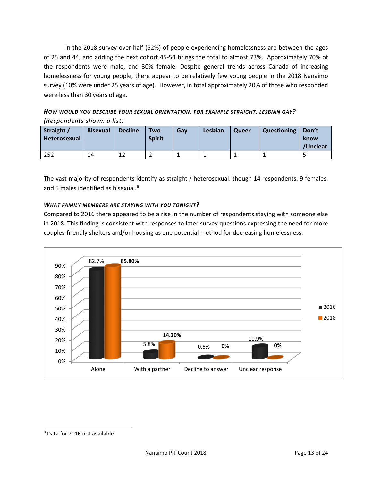In the 2018 survey over half (52%) of people experiencing homelessness are between the ages of 25 and 44, and adding the next cohort 45-54 brings the total to almost 73%. Approximately 70% of the respondents were male, and 30% female. Despite general trends across Canada of increasing homelessness for young people, there appear to be relatively few young people in the 2018 Nanaimo survey (10% were under 25 years of age). However, in total approximately 20% of those who responded were less than 30 years of age.

*HOW WOULD YOU DESCRIBE YOUR SEXUAL ORIENTATION, FOR EXAMPLE STRAIGHT, LESBIAN GAY? (Respondents shown a list)*

| Straight /<br><b>Heterosexual</b> | <b>Bisexual</b> | <b>Decline</b> | <b>Two</b><br><b>Spirit</b> | Gav | Lesbian | Queer | Questioning | Don't<br>know<br>/Unclear |
|-----------------------------------|-----------------|----------------|-----------------------------|-----|---------|-------|-------------|---------------------------|
| 252                               | 14              | 12             |                             |     |         |       |             |                           |

The vast majority of respondents identify as straight / heterosexual, though 14 respondents, 9 females, and 5 males identified as bisexual.<sup>[8](#page-12-0)</sup>

# *WHAT FAMILY MEMBERS ARE STAYING WITH YOU TONIGHT?*

Compared to 2016 there appeared to be a rise in the number of respondents staying with someone else in 2018. This finding is consistent with responses to later survey questions expressing the need for more couples-friendly shelters and/or housing as one potential method for decreasing homelessness.



<span id="page-12-0"></span> <sup>8</sup> Data for 2016 not available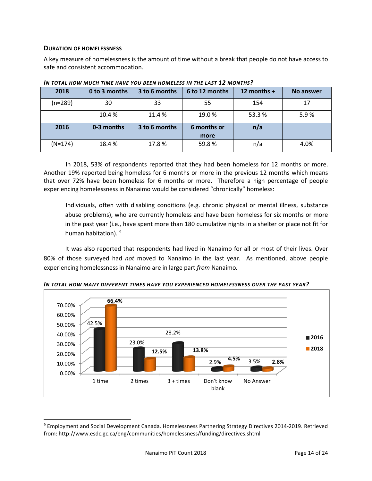#### **DURATION OF HOMELESSNESS**

A key measure of homelessness is the amount of time without a break that people do not have access to safe and consistent accommodation.

| 2018      | 0 to 3 months | 3 to 6 months | 6 to 12 months      | 12 months $+$ | <b>No answer</b> |
|-----------|---------------|---------------|---------------------|---------------|------------------|
| $(n=289)$ | 30            | 33            | 55                  | 154           | 17               |
|           | 10.4 %        | 11.4 %        | 19.0%               | 53.3%         | 5.9%             |
| 2016      | 0-3 months    | 3 to 6 months | 6 months or<br>more | n/a           |                  |
| $(N=174)$ | 18.4 %        | 17.8%         | 59.8%               | n/a           | 4.0%             |

*IN TOTAL HOW MUCH TIME HAVE YOU BEEN HOMELESS IN THE LAST 12 MONTHS?*

In 2018, 53% of respondents reported that they had been homeless for 12 months or more. Another 19% reported being homeless for 6 months or more in the previous 12 months which means that over 72% have been homeless for 6 months or more. Therefore a high percentage of people experiencing homelessness in Nanaimo would be considered "chronically" homeless:

Individuals, often with disabling conditions (e.g. chronic physical or mental illness, substance abuse problems), who are currently homeless and have been homeless for six months or more in the past year (i.e., have spent more than 180 cumulative nights in a shelter or place not fit for human habitation). <sup>[9](#page-13-0)</sup>

It was also reported that respondents had lived in Nanaimo for all or most of their lives. Over 80% of those surveyed had *not* moved to Nanaimo in the last year. As mentioned, above people experiencing homelessness in Nanaimo are in large part *from* Nanaimo*.*



*IN TOTAL HOW MANY DIFFERENT TIMES HAVE YOU EXPERIENCED HOMELESSNESS OVER THE PAST YEAR?*

<span id="page-13-0"></span> <sup>9</sup> Employment and Social Development Canada. Homelessness Partnering Strategy Directives 2014-2019. Retrieved from: http://www.esdc.gc.ca/eng/communities/homelessness/funding/directives.shtml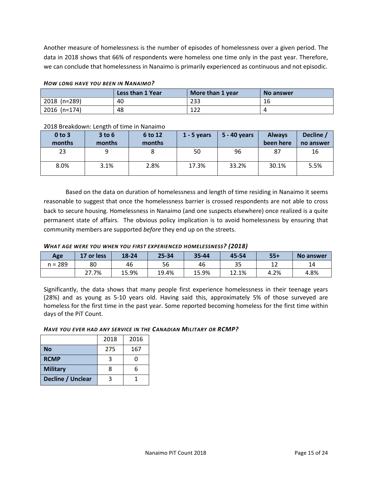Another measure of homelessness is the number of episodes of homelessness over a given period. The data in 2018 shows that 66% of respondents were homeless one time only in the past year. Therefore, we can conclude that homelessness in Nanaimo is primarily experienced as continuous and not episodic.

|                | Less than 1 Year | More than 1 year | No answer |
|----------------|------------------|------------------|-----------|
| 2018 (n=289)   | 40               | 233              | 16        |
| $2016$ (n=174) | 48               | 1 ว ว<br>ᅩᄼᄼ     |           |

#### *HOW LONG HAVE YOU BEEN IN NANAIMO?*

#### 2018 Breakdown: Length of time in Nanaimo

| $0$ to $3$<br>months | $3$ to $6$<br>months | 6 to 12<br>months | $1 - 5$ years | 5 - 40 years | <b>Always</b><br>been here | Decline /<br>no answer |
|----------------------|----------------------|-------------------|---------------|--------------|----------------------------|------------------------|
| 23                   | 9                    | 8                 | 50            | 96           | 87                         | 16                     |
| 8.0%                 | 3.1%                 | 2.8%              | 17.3%         | 33.2%        | 30.1%                      | 5.5%                   |

Based on the data on duration of homelessness and length of time residing in Nanaimo it seems reasonable to suggest that once the homelessness barrier is crossed respondents are not able to cross back to secure housing. Homelessness in Nanaimo (and one suspects elsewhere) once realized is a quite permanent state of affairs. The obvious policy implication is to avoid homelessness by ensuring that community members are supported *before* they end up on the streets.

#### *WHAT AGE WERE YOU WHEN YOU FIRST EXPERIENCED HOMELESSNESS? (2018)*

| Age          | 17 or less | 18-24 | $25 - 34$ | 35-44 | 45-54 | $55+$        | No answer |
|--------------|------------|-------|-----------|-------|-------|--------------|-----------|
| 289<br>$n =$ | 80         | 46    | 56        | 46    | 35    | $\sim$<br>∸∸ | 14        |
|              | 27.7%      | 15.9% | 19.4%     | 15.9% | 12.1% | 4.2%         | 4.8%      |

Significantly, the data shows that many people first experience homelessness in their teenage years (28%) and as young as 5-10 years old. Having said this, approximately 5% of those surveyed are homeless for the first time in the past year. Some reported becoming homeless for the first time within days of the PiT Count.

#### *HAVE YOU EVER HAD ANY SERVICE IN THE CANADIAN MILITARY OR RCMP?*

|                   | 2018 | 2016 |
|-------------------|------|------|
| <b>No</b>         | 275  | 167  |
| <b>RCMP</b>       |      |      |
| <b>Military</b>   | 8    | 6    |
| Decline / Unclear |      |      |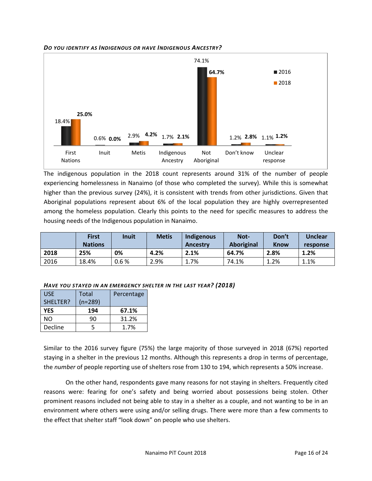



The indigenous population in the 2018 count represents around 31% of the number of people experiencing homelessness in Nanaimo (of those who completed the survey). While this is somewhat higher than the previous survey (24%), it is consistent with trends from other jurisdictions. Given that Aboriginal populations represent about 6% of the local population they are highly overrepresented among the homeless population. Clearly this points to the need for specific measures to address the housing needs of the Indigenous population in Nanaimo.

|      | <b>First</b><br><b>Nations</b> | <b>Inuit</b> | <b>Metis</b> | Indigenous<br>Ancestry | Not-<br>Aboriginal | Don't<br><b>Know</b> | <b>Unclear</b><br>response |
|------|--------------------------------|--------------|--------------|------------------------|--------------------|----------------------|----------------------------|
| 2018 | 25%                            | 0%           | 4.2%         | 2.1%                   | 64.7%              | 2.8%                 | 1.2%                       |
| 2016 | 18.4%                          | 0.6%         | 2.9%         | <b>1.7%</b>            | 74.1%              | $1.2\%$              | $1.1\%$                    |

*HAVE YOU STAYED IN AN EMERGENCY SHELTER IN THE LAST YEAR? (2018)*

| <b>USE</b> | Total   | Percentage |
|------------|---------|------------|
| SHELTER?   | (n=289) |            |
| <b>YES</b> | 194     | 67.1%      |
| NΟ         | 90      | 31.2%      |
| Decline    |         | 1.7%       |

Similar to the 2016 survey figure (75%) the large majority of those surveyed in 2018 (67%) reported staying in a shelter in the previous 12 months. Although this represents a drop in terms of percentage, the *number* of people reporting use of shelters rose from 130 to 194, which represents a 50% increase.

On the other hand, respondents gave many reasons for not staying in shelters. Frequently cited reasons were: fearing for one's safety and being worried about possessions being stolen. Other prominent reasons included not being able to stay in a shelter as a couple, and not wanting to be in an environment where others were using and/or selling drugs. There were more than a few comments to the effect that shelter staff "look down" on people who use shelters.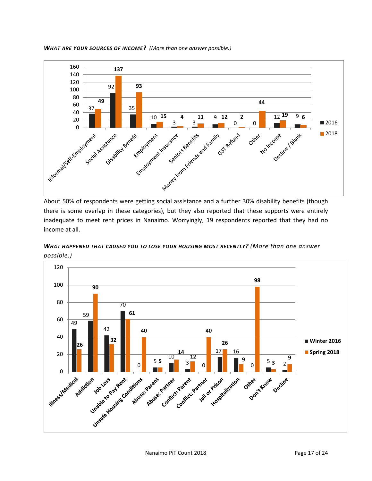

*WHAT ARE YOUR SOURCES OF INCOME? (More than one answer possible.)*

About 50% of respondents were getting social assistance and a further 30% disability benefits (though there is some overlap in these categories), but they also reported that these supports were entirely inadequate to meet rent prices in Nanaimo. Worryingly, 19 respondents reported that they had no income at all.

*WHAT HAPPENED THAT CAUSED YOU TO LOSE YOUR HOUSING MOST RECENTLY? (More than one answer possible.)*

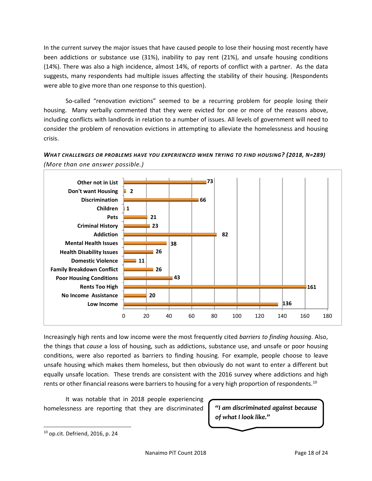In the current survey the major issues that have caused people to lose their housing most recently have been addictions or substance use (31%), inability to pay rent (21%), and unsafe housing conditions (14%). There was also a high incidence, almost 14%, of reports of conflict with a partner. As the data suggests, many respondents had multiple issues affecting the stability of their housing. (Respondents were able to give more than one response to this question).

So-called "renovation evictions" seemed to be a recurring problem for people losing their housing. Many verbally commented that they were evicted for one or more of the reasons above, including conflicts with landlords in relation to a number of issues. All levels of government will need to consider the problem of renovation evictions in attempting to alleviate the homelessness and housing crisis.





Increasingly high rents and low income were the most frequently cited *barriers to finding housing*. Also, the things that *cause* a loss of housing, such as addictions, substance use, and unsafe or poor housing conditions, were also reported as barriers to finding housing. For example, people choose to leave unsafe housing which makes them homeless, but then obviously do not want to enter a different but equally unsafe location. These trends are consistent with the 2016 survey where addictions and high rents or other financial reasons were barriers to housing for a very high proportion of respondents.<sup>[10](#page-17-0)</sup>

It was notable that in 2018 people experiencing homelessness are reporting that they are discriminated

*"I am discriminated against because of what I look like."*

<span id="page-17-0"></span> $10$  op.cit. Defriend, 2016, p. 24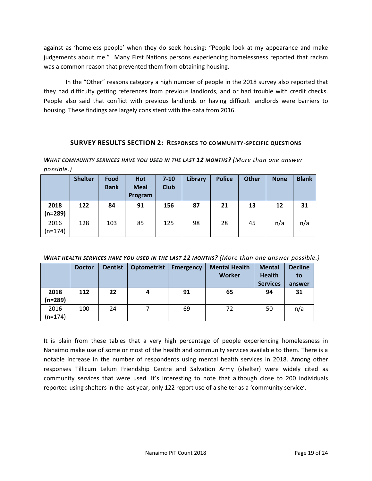against as 'homeless people' when they do seek housing: "People look at my appearance and make judgements about me." Many First Nations persons experiencing homelessness reported that racism was a common reason that prevented them from obtaining housing.

In the "Other" reasons category a high number of people in the 2018 survey also reported that they had difficulty getting references from previous landlords, and or had trouble with credit checks. People also said that conflict with previous landlords or having difficult landlords were barriers to housing. These findings are largely consistent with the data from 2016.

# **SURVEY RESULTS SECTION 2: RESPONSES TO COMMUNITY-SPECIFIC QUESTIONS**

*WHAT COMMUNITY SERVICES HAVE YOU USED IN THE LAST 12 MONTHS? (More than one answer possible.)*

|                   | <b>Shelter</b> | Food<br><b>Bank</b> | Hot<br><b>Meal</b><br>Program | $7 - 10$<br><b>Club</b> | Library | <b>Police</b> | <b>Other</b> | <b>None</b> | <b>Blank</b> |
|-------------------|----------------|---------------------|-------------------------------|-------------------------|---------|---------------|--------------|-------------|--------------|
| 2018<br>$(n=289)$ | 122            | 84                  | 91                            | 156                     | 87      | 21            | 13           | 12          | 31           |
| 2016<br>$(n=174)$ | 128            | 103                 | 85                            | 125                     | 98      | 28            | 45           | n/a         | n/a          |

*WHAT HEALTH SERVICES HAVE YOU USED IN THE LAST 12 MONTHS? (More than one answer possible.)*

|           | <b>Doctor</b> | <b>Dentist</b> | <b>Optometrist</b> | <b>Emergency</b> | <b>Mental Health</b> | <b>Mental</b>   | <b>Decline</b> |
|-----------|---------------|----------------|--------------------|------------------|----------------------|-----------------|----------------|
|           |               |                |                    |                  | Worker               | <b>Health</b>   | to             |
|           |               |                |                    |                  |                      | <b>Services</b> | answer         |
| 2018      | 112           | 22             |                    | 91               | 65                   | 94              | 31             |
| (n=289)   |               |                |                    |                  |                      |                 |                |
| 2016      | 100           | 24             |                    | 69               | 72                   | 50              | n/a            |
| $(n=174)$ |               |                |                    |                  |                      |                 |                |

It is plain from these tables that a very high percentage of people experiencing homelessness in Nanaimo make use of some or most of the health and community services available to them. There is a notable increase in the number of respondents using mental health services in 2018. Among other responses Tillicum Lelum Friendship Centre and Salvation Army (shelter) were widely cited as community services that were used. It's interesting to note that although close to 200 individuals reported using shelters in the last year, only 122 report use of a shelter as a 'community service'.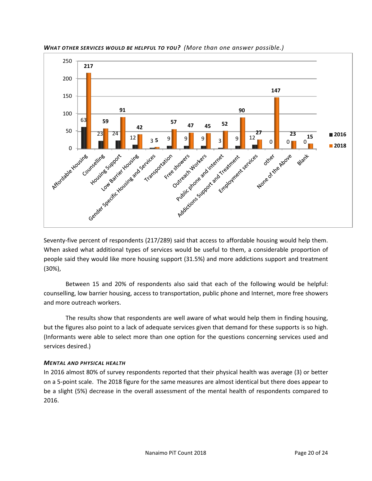

*WHAT OTHER SERVICES WOULD BE HELPFUL TO YOU? (More than one answer possible.)*

Seventy-five percent of respondents (217/289) said that access to affordable housing would help them. When asked what additional types of services would be useful to them, a considerable proportion of people said they would like more housing support (31.5%) and more addictions support and treatment (30%),

Between 15 and 20% of respondents also said that each of the following would be helpful: counselling, low barrier housing, access to transportation, public phone and Internet, more free showers and more outreach workers.

The results show that respondents are well aware of what would help them in finding housing, but the figures also point to a lack of adequate services given that demand for these supports is so high. (Informants were able to select more than one option for the questions concerning services used and services desired.)

# *MENTAL AND PHYSICAL HEALTH*

In 2016 almost 80% of survey respondents reported that their physical health was average (3) or better on a 5-point scale. The 2018 figure for the same measures are almost identical but there does appear to be a slight (5%) decrease in the overall assessment of the mental health of respondents compared to 2016.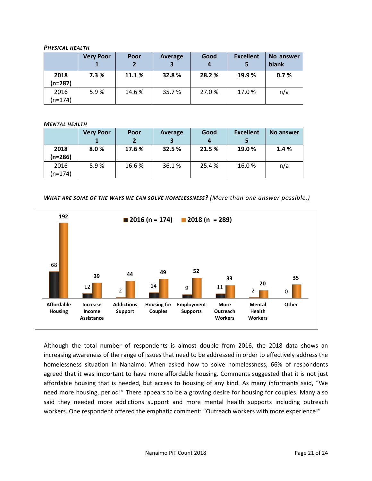#### *PHYSICAL HEALTH*

|                 | <b>Very Poor</b> | Poor   | Average | Good<br>4 | <b>Excellent</b> | No answer<br>blank |
|-----------------|------------------|--------|---------|-----------|------------------|--------------------|
| 2018<br>(n=287) | 7.3%             | 11.1 % | 32.8%   | 28.2 %    | 19.9 %           | 0.7%               |
| 2016<br>(n=174) | 5.9%             | 14.6 % | 35.7%   | 27.0%     | 17.0%            | n/a                |

#### *MENTAL HEALTH*

|                   | <b>Very Poor</b> | Poor<br>$\mathbf{2}$ | Average | Good   | <b>Excellent</b> | No answer |
|-------------------|------------------|----------------------|---------|--------|------------------|-----------|
| 2018<br>(n=286)   | 8.0%             | 17.6 %               | 32.5 %  | 21.5 % | 19.0 %           | 1.4%      |
| 2016<br>$(n=174)$ | 5.9%             | 16.6%                | 36.1%   | 25.4 % | 16.0%            | n/a       |

*WHAT ARE SOME OF THE WAYS WE CAN SOLVE HOMELESSNESS? (More than one answer possible.)*



Although the total number of respondents is almost double from 2016, the 2018 data shows an increasing awareness of the range of issues that need to be addressed in order to effectively address the homelessness situation in Nanaimo. When asked how to solve homelessness, 66% of respondents agreed that it was important to have more affordable housing. Comments suggested that it is not just affordable housing that is needed, but access to housing of any kind. As many informants said, "We need more housing, period!" There appears to be a growing desire for housing for couples. Many also said they needed more addictions support and more mental health supports including outreach workers. One respondent offered the emphatic comment: "Outreach workers with more experience!"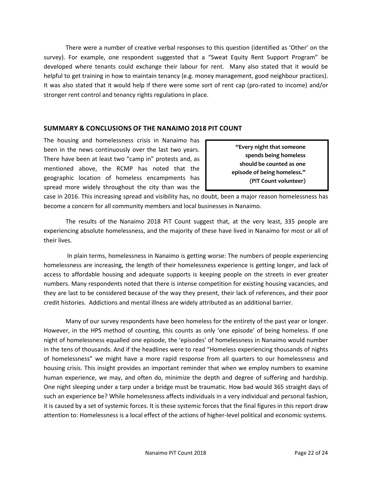There were a number of creative verbal responses to this question (identified as 'Other' on the survey). For example, one respondent suggested that a "Sweat Equity Rent Support Program" be developed where tenants could exchange their labour for rent. Many also stated that it would be helpful to get training in how to maintain tenancy (e.g. money management, good neighbour practices). It was also stated that it would help if there were some sort of rent cap (pro-rated to income) and/or stronger rent control and tenancy rights regulations in place.

# **SUMMARY & CONCLUSIONS OF THE NANAIMO 2018 PIT COUNT**

The housing and homelessness crisis in Nanaimo has been in the news continuously over the last two years. There have been at least two "camp in" protests and, as mentioned above, the RCMP has noted that the geographic location of homeless encampments has spread more widely throughout the city than was the

**"Every night that someone spends being homeless should be counted as one episode of being homeless." (PiT Count volunteer)**

case in 2016. This increasing spread and visibility has, no doubt, been a major reason homelessness has become a concern for all community members and local businesses in Nanaimo.

The results of the Nanaimo 2018 PiT Count suggest that, at the very least, 335 people are experiencing absolute homelessness, and the majority of these have lived in Nanaimo for most or all of their lives.

In plain terms, homelessness in Nanaimo is getting worse: The numbers of people experiencing homelessness are increasing, the length of their homelessness experience is getting longer, and lack of access to affordable housing and adequate supports is keeping people on the streets in ever greater numbers. Many respondents noted that there is intense competition for existing housing vacancies, and they are last to be considered because of the way they present, their lack of references, and their poor credit histories. Addictions and mental illness are widely attributed as an additional barrier.

Many of our survey respondents have been homeless for the entirety of the past year or longer. However, in the HPS method of counting, this counts as only 'one episode' of being homeless. If one night of homelessness equalled one episode, the 'episodes' of homelessness in Nanaimo would number in the tens of thousands. And if the headlines were to read "Homeless experiencing thousands of nights of homelessness" we might have a more rapid response from all quarters to our homelessness and housing crisis. This insight provides an important reminder that when we employ numbers to examine human experience, we may, and often do, minimize the depth and degree of suffering and hardship. One night sleeping under a tarp under a bridge must be traumatic. How bad would 365 straight days of such an experience be? While homelessness affects individuals in a very individual and personal fashion, it is caused by a set of systemic forces. It is these systemic forces that the final figures in this report draw attention to: Homelessness is a local effect of the actions of higher-level political and economic systems.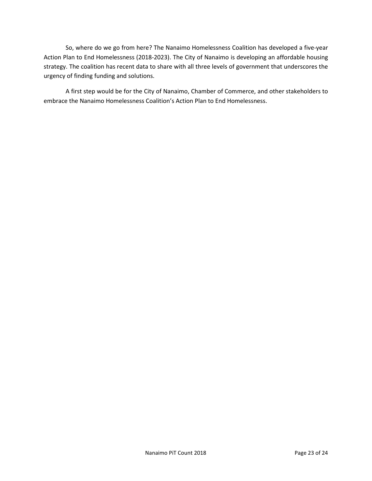So, where do we go from here? The Nanaimo Homelessness Coalition has developed a five-year Action Plan to End Homelessness (2018-2023). The City of Nanaimo is developing an affordable housing strategy. The coalition has recent data to share with all three levels of government that underscores the urgency of finding funding and solutions.

A first step would be for the City of Nanaimo, Chamber of Commerce, and other stakeholders to embrace the Nanaimo Homelessness Coalition's Action Plan to End Homelessness.